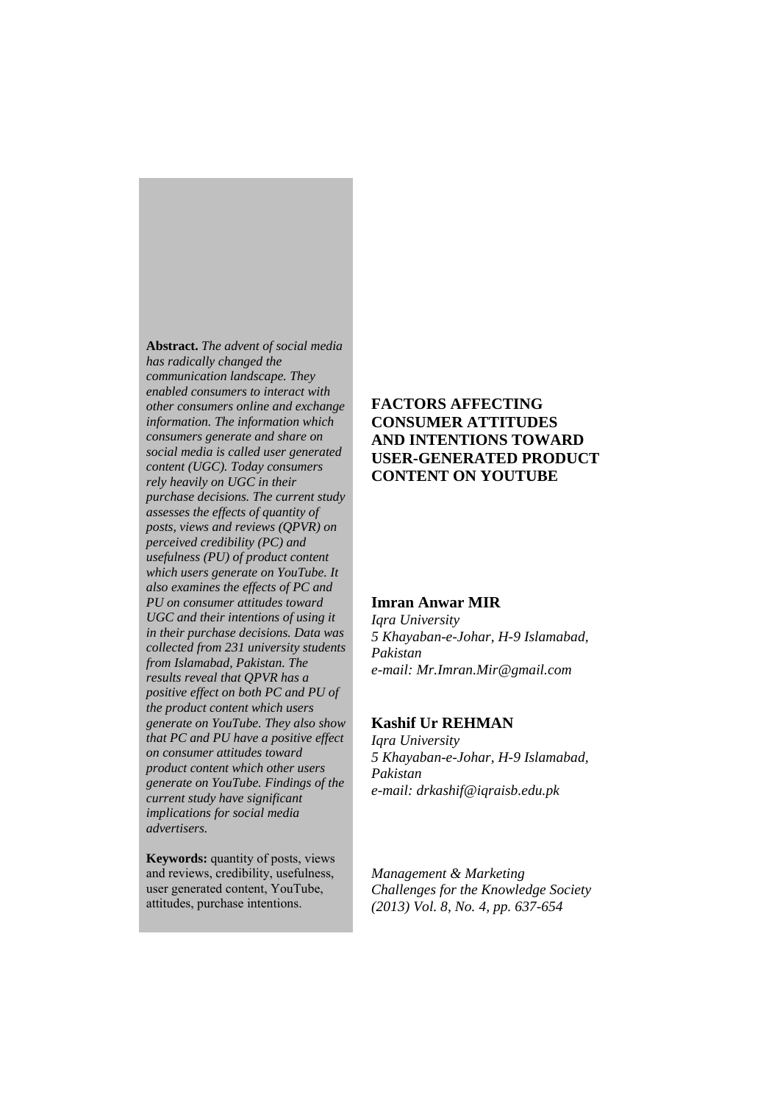**Abstract.** *The advent of social media has radically changed the communication landscape. They enabled consumers to interact with other consumers online and exchange information. The information which consumers generate and share on social media is called user generated content (UGC). Today consumers rely heavily on UGC in their purchase decisions. The current study assesses the effects of quantity of posts, views and reviews (QPVR) on perceived credibility (PC) and usefulness (PU) of product content which users generate on YouTube. It also examines the effects of PC and PU on consumer attitudes toward UGC and their intentions of using it in their purchase decisions. Data was collected from 231 university students from Islamabad, Pakistan. The results reveal that QPVR has a positive effect on both PC and PU of the product content which users generate on YouTube. They also show that PC and PU have a positive effect on consumer attitudes toward product content which other users generate on YouTube. Findings of the current study have significant implications for social media advertisers.* 

**Keywords:** quantity of posts, views and reviews, credibility, usefulness, user generated content, YouTube, attitudes, purchase intentions.

# **FACTORS AFFECTING CONSUMER ATTITUDES AND INTENTIONS TOWARD USER-GENERATED PRODUCT CONTENT ON YOUTUBE**

## **Imran Anwar MIR**

*Iqra University 5 Khayaban-e-Johar, H-9 Islamabad, Pakistan e-mail: Mr.Imran.Mir@gmail.com* 

## **Kashif Ur REHMAN**

*Iqra University 5 Khayaban-e-Johar, H-9 Islamabad, Pakistan e-mail: drkashif@iqraisb.edu.pk*

*Management & Marketing Challenges for the Knowledge Society (2013) Vol. 8, No. 4, pp. 637-654*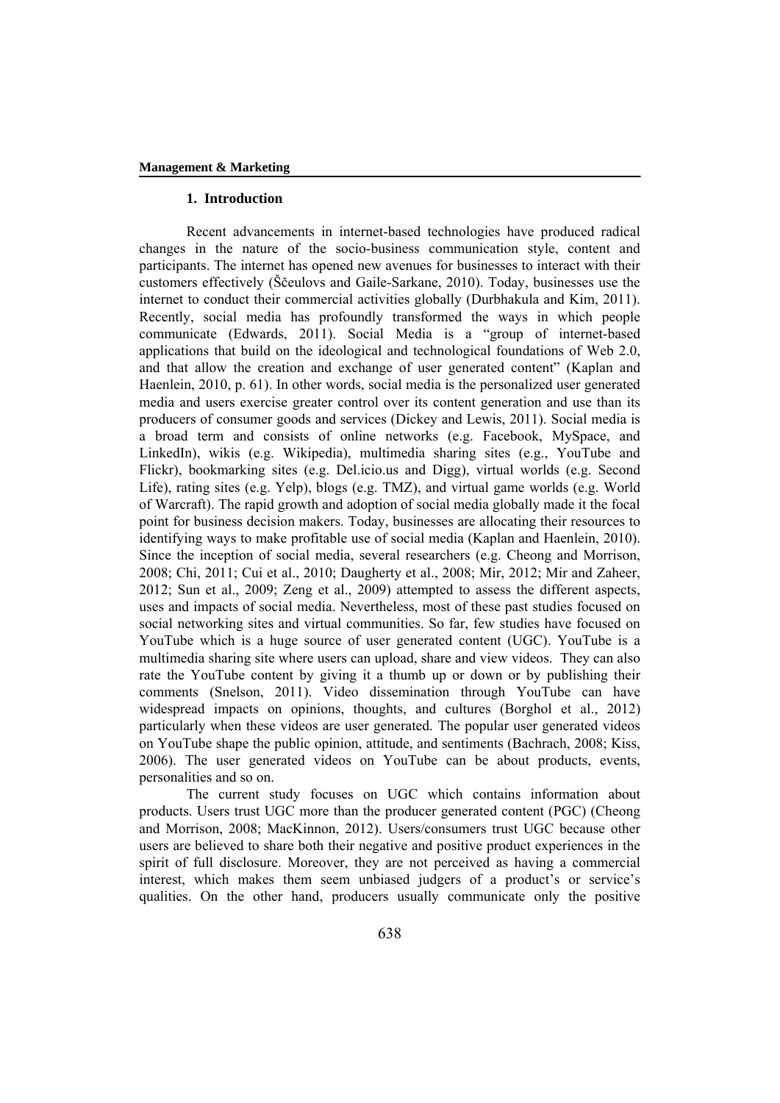## **1. Introduction**

Recent advancements in internet-based technologies have produced radical changes in the nature of the socio-business communication style, content and participants. The internet has opened new avenues for businesses to interact with their customers effectively (Ščeulovs and Gaile-Sarkane, 2010). Today, businesses use the internet to conduct their commercial activities globally (Durbhakula and Kim, 2011). Recently, social media has profoundly transformed the ways in which people communicate (Edwards, 2011). Social Media is a "group of internet-based applications that build on the ideological and technological foundations of Web 2.0, and that allow the creation and exchange of user generated content" (Kaplan and Haenlein, 2010, p. 61). In other words, social media is the personalized user generated media and users exercise greater control over its content generation and use than its producers of consumer goods and services (Dickey and Lewis, 2011). Social media is a broad term and consists of online networks (e.g. Facebook, MySpace, and LinkedIn), wikis (e.g. Wikipedia), multimedia sharing sites (e.g., YouTube and Flickr), bookmarking sites (e.g. Del.icio.us and Digg), virtual worlds (e.g. Second Life), rating sites (e.g. Yelp), blogs (e.g. TMZ), and virtual game worlds (e.g. World of Warcraft). The rapid growth and adoption of social media globally made it the focal point for business decision makers. Today, businesses are allocating their resources to identifying ways to make profitable use of social media (Kaplan and Haenlein, 2010). Since the inception of social media, several researchers (e.g. Cheong and Morrison, 2008; Chi, 2011; Cui et al., 2010; Daugherty et al., 2008; Mir, 2012; Mir and Zaheer, 2012; Sun et al., 2009; Zeng et al., 2009) attempted to assess the different aspects, uses and impacts of social media. Nevertheless, most of these past studies focused on social networking sites and virtual communities. So far, few studies have focused on YouTube which is a huge source of user generated content (UGC). YouTube is a multimedia sharing site where users can upload, share and view videos. They can also rate the YouTube content by giving it a thumb up or down or by publishing their comments (Snelson, 2011). Video dissemination through YouTube can have widespread impacts on opinions, thoughts, and cultures (Borghol et al., 2012) particularly when these videos are user generated. The popular user generated videos on YouTube shape the public opinion, attitude, and sentiments (Bachrach, 2008; Kiss, 2006). The user generated videos on YouTube can be about products, events, personalities and so on.

The current study focuses on UGC which contains information about products. Users trust UGC more than the producer generated content (PGC) (Cheong and Morrison, 2008; MacKinnon, 2012). Users/consumers trust UGC because other users are believed to share both their negative and positive product experiences in the spirit of full disclosure. Moreover, they are not perceived as having a commercial interest, which makes them seem unbiased judgers of a product's or service's qualities. On the other hand, producers usually communicate only the positive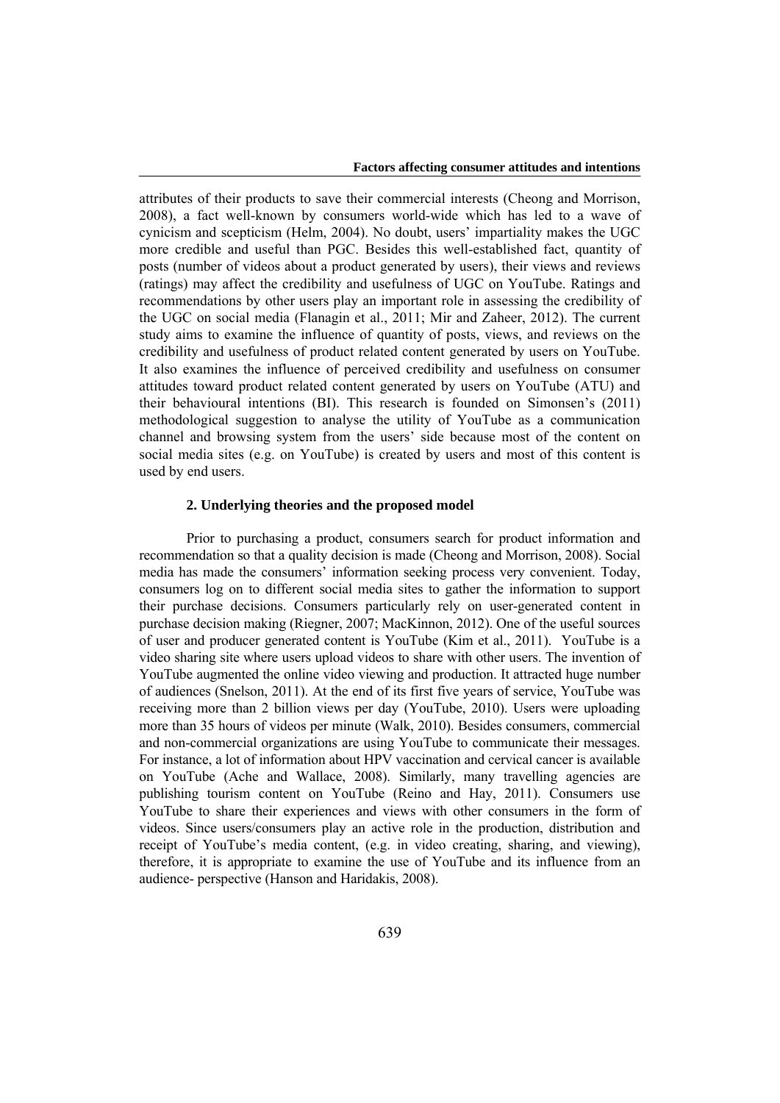attributes of their products to save their commercial interests (Cheong and Morrison, 2008), a fact well-known by consumers world-wide which has led to a wave of cynicism and scepticism (Helm, 2004). No doubt, users' impartiality makes the UGC more credible and useful than PGC. Besides this well-established fact, quantity of posts (number of videos about a product generated by users), their views and reviews (ratings) may affect the credibility and usefulness of UGC on YouTube. Ratings and recommendations by other users play an important role in assessing the credibility of the UGC on social media (Flanagin et al., 2011; Mir and Zaheer, 2012). The current study aims to examine the influence of quantity of posts, views, and reviews on the credibility and usefulness of product related content generated by users on YouTube. It also examines the influence of perceived credibility and usefulness on consumer attitudes toward product related content generated by users on YouTube (ATU) and their behavioural intentions (BI). This research is founded on Simonsen's (2011) methodological suggestion to analyse the utility of YouTube as a communication channel and browsing system from the users' side because most of the content on social media sites (e.g. on YouTube) is created by users and most of this content is used by end users.

### **2. Underlying theories and the proposed model**

Prior to purchasing a product, consumers search for product information and recommendation so that a quality decision is made (Cheong and Morrison, 2008). Social media has made the consumers' information seeking process very convenient. Today, consumers log on to different social media sites to gather the information to support their purchase decisions. Consumers particularly rely on user-generated content in purchase decision making (Riegner, 2007; MacKinnon, 2012). One of the useful sources of user and producer generated content is YouTube (Kim et al., 2011). YouTube is a video sharing site where users upload videos to share with other users. The invention of YouTube augmented the online video viewing and production. It attracted huge number of audiences (Snelson, 2011). At the end of its first five years of service, YouTube was receiving more than 2 billion views per day (YouTube, 2010). Users were uploading more than 35 hours of videos per minute (Walk, 2010). Besides consumers, commercial and non-commercial organizations are using YouTube to communicate their messages. For instance, a lot of information about HPV vaccination and cervical cancer is available on YouTube (Ache and Wallace, 2008). Similarly, many travelling agencies are publishing tourism content on YouTube (Reino and Hay, 2011). Consumers use YouTube to share their experiences and views with other consumers in the form of videos. Since users/consumers play an active role in the production, distribution and receipt of YouTube's media content, (e.g. in video creating, sharing, and viewing), therefore, it is appropriate to examine the use of YouTube and its influence from an audience- perspective (Hanson and Haridakis, 2008).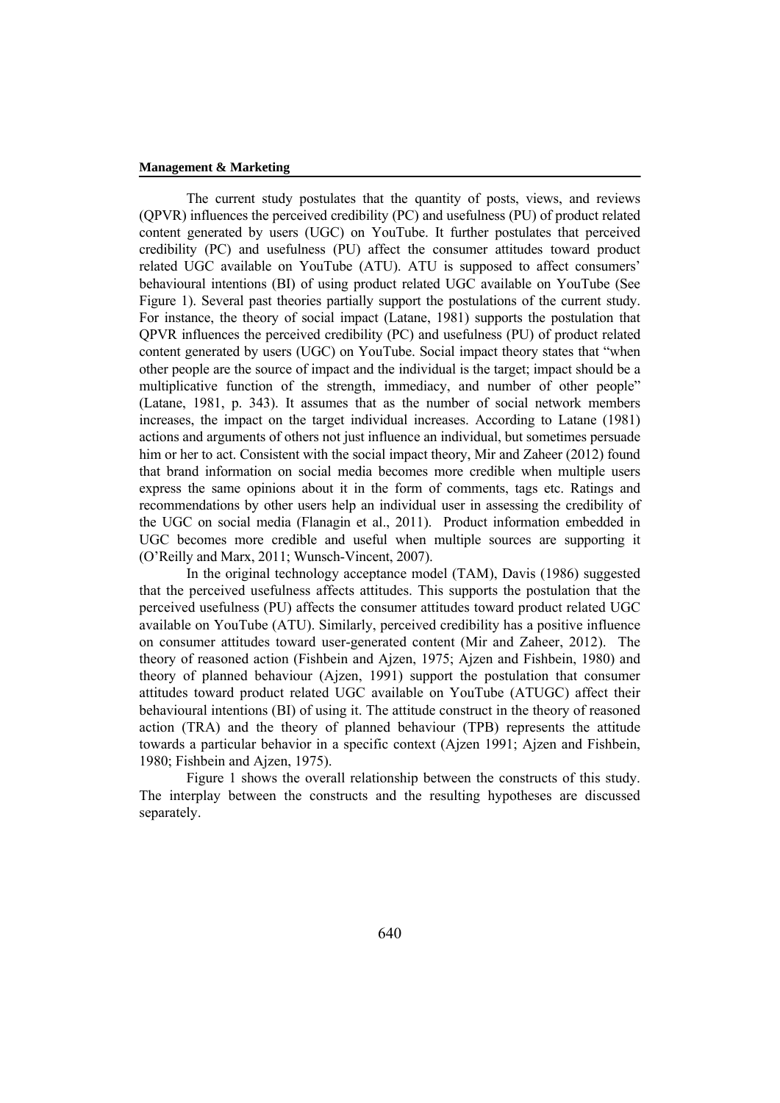The current study postulates that the quantity of posts, views, and reviews (QPVR) influences the perceived credibility (PC) and usefulness (PU) of product related content generated by users (UGC) on YouTube. It further postulates that perceived credibility (PC) and usefulness (PU) affect the consumer attitudes toward product related UGC available on YouTube (ATU). ATU is supposed to affect consumers' behavioural intentions (BI) of using product related UGC available on YouTube (See Figure 1). Several past theories partially support the postulations of the current study. For instance, the theory of social impact (Latane, 1981) supports the postulation that QPVR influences the perceived credibility (PC) and usefulness (PU) of product related content generated by users (UGC) on YouTube. Social impact theory states that "when other people are the source of impact and the individual is the target; impact should be a multiplicative function of the strength, immediacy, and number of other people" (Latane, 1981, p. 343). It assumes that as the number of social network members increases, the impact on the target individual increases. According to Latane (1981) actions and arguments of others not just influence an individual, but sometimes persuade him or her to act. Consistent with the social impact theory, Mir and Zaheer (2012) found that brand information on social media becomes more credible when multiple users express the same opinions about it in the form of comments, tags etc. Ratings and recommendations by other users help an individual user in assessing the credibility of the UGC on social media (Flanagin et al., 2011). Product information embedded in UGC becomes more credible and useful when multiple sources are supporting it (O'Reilly and Marx, 2011; Wunsch-Vincent, 2007).

In the original technology acceptance model (TAM), Davis (1986) suggested that the perceived usefulness affects attitudes. This supports the postulation that the perceived usefulness (PU) affects the consumer attitudes toward product related UGC available on YouTube (ATU). Similarly, perceived credibility has a positive influence on consumer attitudes toward user-generated content (Mir and Zaheer, 2012). The theory of reasoned action (Fishbein and Ajzen, 1975; Ajzen and Fishbein, 1980) and theory of planned behaviour (Ajzen, 1991) support the postulation that consumer attitudes toward product related UGC available on YouTube (ATUGC) affect their behavioural intentions (BI) of using it. The attitude construct in the theory of reasoned action (TRA) and the theory of planned behaviour (TPB) represents the attitude towards a particular behavior in a specific context (Ajzen 1991; Ajzen and Fishbein, 1980; Fishbein and Ajzen, 1975).

Figure 1 shows the overall relationship between the constructs of this study. The interplay between the constructs and the resulting hypotheses are discussed separately.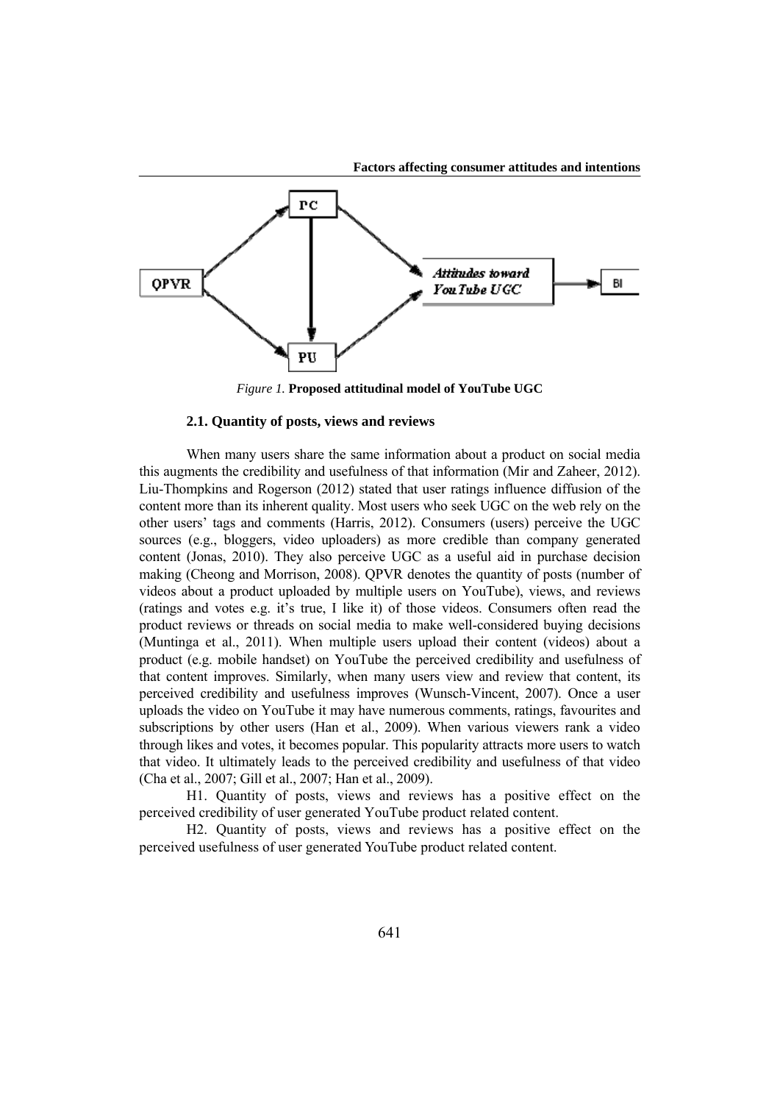

*Figure 1.* **Proposed attitudinal model of YouTube UGC** 

## **2.1. Quantity of posts, views and reviews**

When many users share the same information about a product on social media this augments the credibility and usefulness of that information (Mir and Zaheer, 2012). Liu-Thompkins and Rogerson (2012) stated that user ratings influence diffusion of the content more than its inherent quality. Most users who seek UGC on the web rely on the other users' tags and comments (Harris, 2012). Consumers (users) perceive the UGC sources (e.g., bloggers, video uploaders) as more credible than company generated content (Jonas, 2010). They also perceive UGC as a useful aid in purchase decision making (Cheong and Morrison, 2008). QPVR denotes the quantity of posts (number of videos about a product uploaded by multiple users on YouTube), views, and reviews (ratings and votes e.g. it's true, I like it) of those videos. Consumers often read the product reviews or threads on social media to make well-considered buying decisions (Muntinga et al., 2011). When multiple users upload their content (videos) about a product (e.g. mobile handset) on YouTube the perceived credibility and usefulness of that content improves. Similarly, when many users view and review that content, its perceived credibility and usefulness improves (Wunsch-Vincent, 2007). Once a user uploads the video on YouTube it may have numerous comments, ratings, favourites and subscriptions by other users (Han et al., 2009). When various viewers rank a video through likes and votes, it becomes popular. This popularity attracts more users to watch that video. It ultimately leads to the perceived credibility and usefulness of that video (Cha et al., 2007; Gill et al., 2007; Han et al., 2009).

H1. Quantity of posts, views and reviews has a positive effect on the perceived credibility of user generated YouTube product related content.

H2. Quantity of posts, views and reviews has a positive effect on the perceived usefulness of user generated YouTube product related content.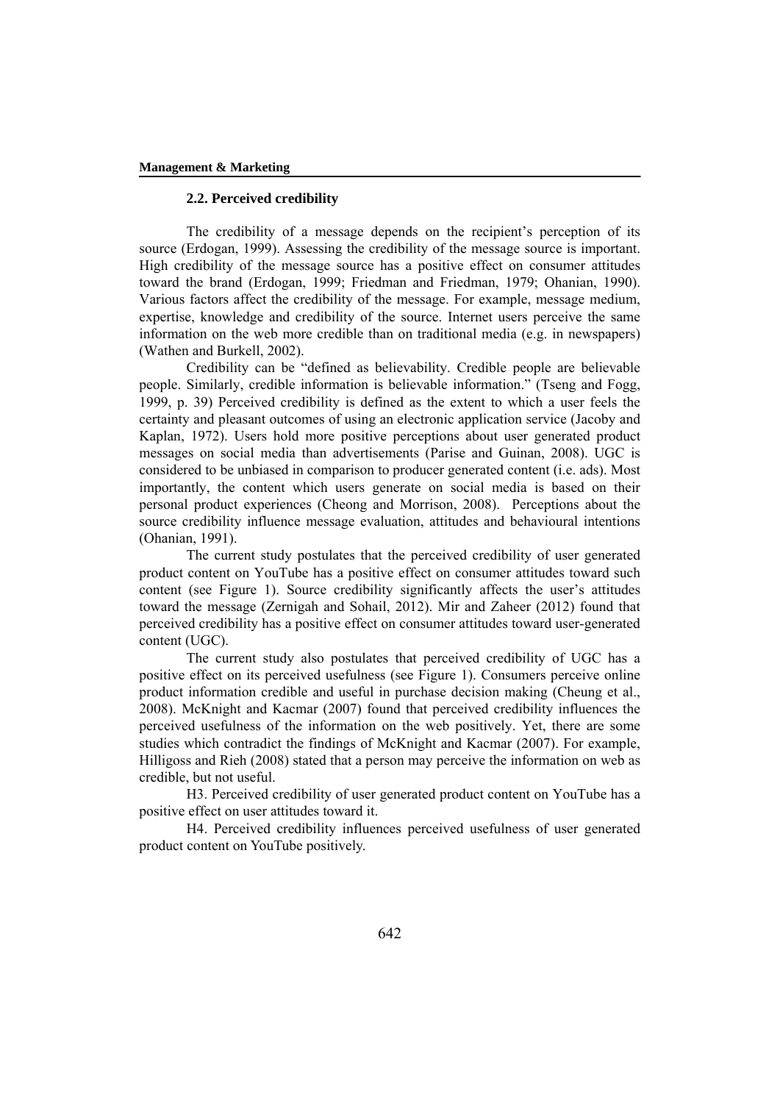## **2.2. Perceived credibility**

The credibility of a message depends on the recipient's perception of its source (Erdogan, 1999). Assessing the credibility of the message source is important. High credibility of the message source has a positive effect on consumer attitudes toward the brand (Erdogan, 1999; Friedman and Friedman, 1979; Ohanian, 1990). Various factors affect the credibility of the message. For example, message medium, expertise, knowledge and credibility of the source. Internet users perceive the same information on the web more credible than on traditional media (e.g. in newspapers) (Wathen and Burkell, 2002).

Credibility can be "defined as believability. Credible people are believable people. Similarly, credible information is believable information." (Tseng and Fogg, 1999, p. 39) Perceived credibility is defined as the extent to which a user feels the certainty and pleasant outcomes of using an electronic application service (Jacoby and Kaplan, 1972). Users hold more positive perceptions about user generated product messages on social media than advertisements (Parise and Guinan, 2008). UGC is considered to be unbiased in comparison to producer generated content (i.e. ads). Most importantly, the content which users generate on social media is based on their personal product experiences (Cheong and Morrison, 2008). Perceptions about the source credibility influence message evaluation, attitudes and behavioural intentions (Ohanian, 1991).

The current study postulates that the perceived credibility of user generated product content on YouTube has a positive effect on consumer attitudes toward such content (see Figure 1). Source credibility significantly affects the user's attitudes toward the message (Zernigah and Sohail, 2012). Mir and Zaheer (2012) found that perceived credibility has a positive effect on consumer attitudes toward user-generated content (UGC).

The current study also postulates that perceived credibility of UGC has a positive effect on its perceived usefulness (see Figure 1). Consumers perceive online product information credible and useful in purchase decision making (Cheung et al., 2008). McKnight and Kacmar (2007) found that perceived credibility influences the perceived usefulness of the information on the web positively. Yet, there are some studies which contradict the findings of McKnight and Kacmar (2007). For example, Hilligoss and Rieh (2008) stated that a person may perceive the information on web as credible, but not useful.

H3. Perceived credibility of user generated product content on YouTube has a positive effect on user attitudes toward it.

H4. Perceived credibility influences perceived usefulness of user generated product content on YouTube positively.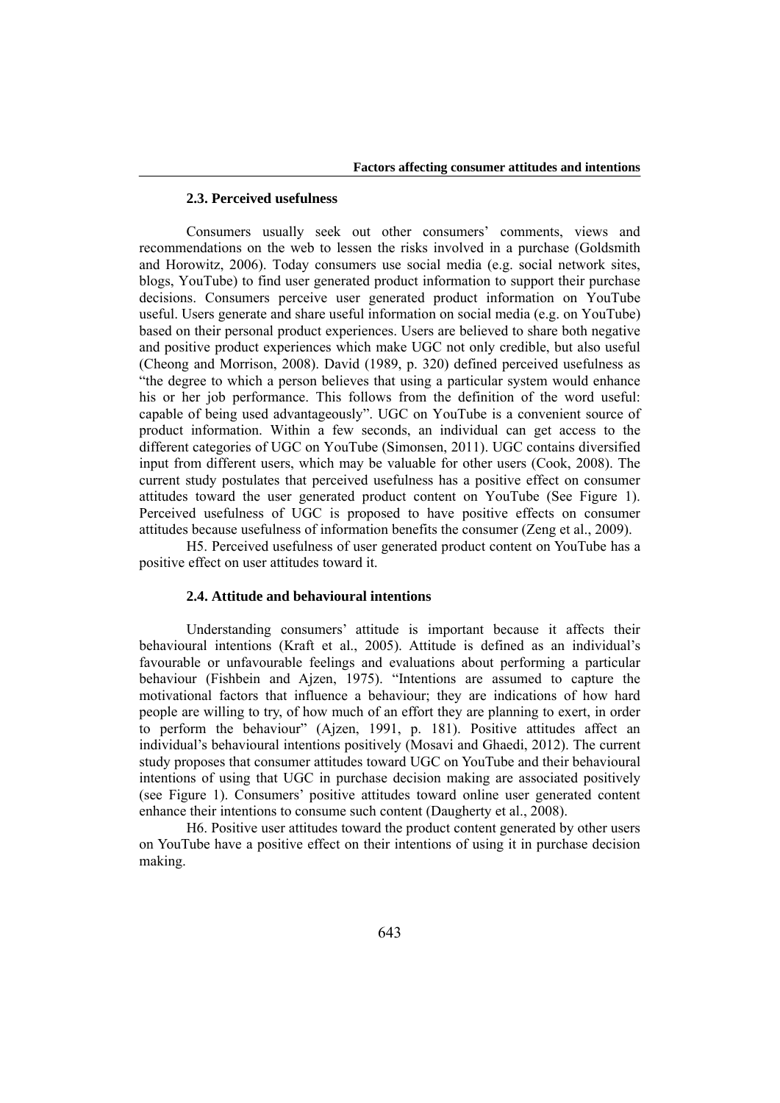## **2.3. Perceived usefulness**

Consumers usually seek out other consumers' comments, views and recommendations on the web to lessen the risks involved in a purchase (Goldsmith and Horowitz, 2006). Today consumers use social media (e.g. social network sites, blogs, YouTube) to find user generated product information to support their purchase decisions. Consumers perceive user generated product information on YouTube useful. Users generate and share useful information on social media (e.g. on YouTube) based on their personal product experiences. Users are believed to share both negative and positive product experiences which make UGC not only credible, but also useful (Cheong and Morrison, 2008). David (1989, p. 320) defined perceived usefulness as "the degree to which a person believes that using a particular system would enhance his or her job performance. This follows from the definition of the word useful: capable of being used advantageously". UGC on YouTube is a convenient source of product information. Within a few seconds, an individual can get access to the different categories of UGC on YouTube (Simonsen, 2011). UGC contains diversified input from different users, which may be valuable for other users (Cook, 2008). The current study postulates that perceived usefulness has a positive effect on consumer attitudes toward the user generated product content on YouTube (See Figure 1). Perceived usefulness of UGC is proposed to have positive effects on consumer attitudes because usefulness of information benefits the consumer (Zeng et al., 2009).

H5. Perceived usefulness of user generated product content on YouTube has a positive effect on user attitudes toward it.

## **2.4. Attitude and behavioural intentions**

Understanding consumers' attitude is important because it affects their behavioural intentions (Kraft et al., 2005). Attitude is defined as an individual's favourable or unfavourable feelings and evaluations about performing a particular behaviour (Fishbein and Ajzen, 1975). "Intentions are assumed to capture the motivational factors that influence a behaviour; they are indications of how hard people are willing to try, of how much of an effort they are planning to exert, in order to perform the behaviour" (Ajzen, 1991, p. 181). Positive attitudes affect an individual's behavioural intentions positively (Mosavi and Ghaedi, 2012). The current study proposes that consumer attitudes toward UGC on YouTube and their behavioural intentions of using that UGC in purchase decision making are associated positively (see Figure 1). Consumers' positive attitudes toward online user generated content enhance their intentions to consume such content (Daugherty et al., 2008).

H6. Positive user attitudes toward the product content generated by other users on YouTube have a positive effect on their intentions of using it in purchase decision making.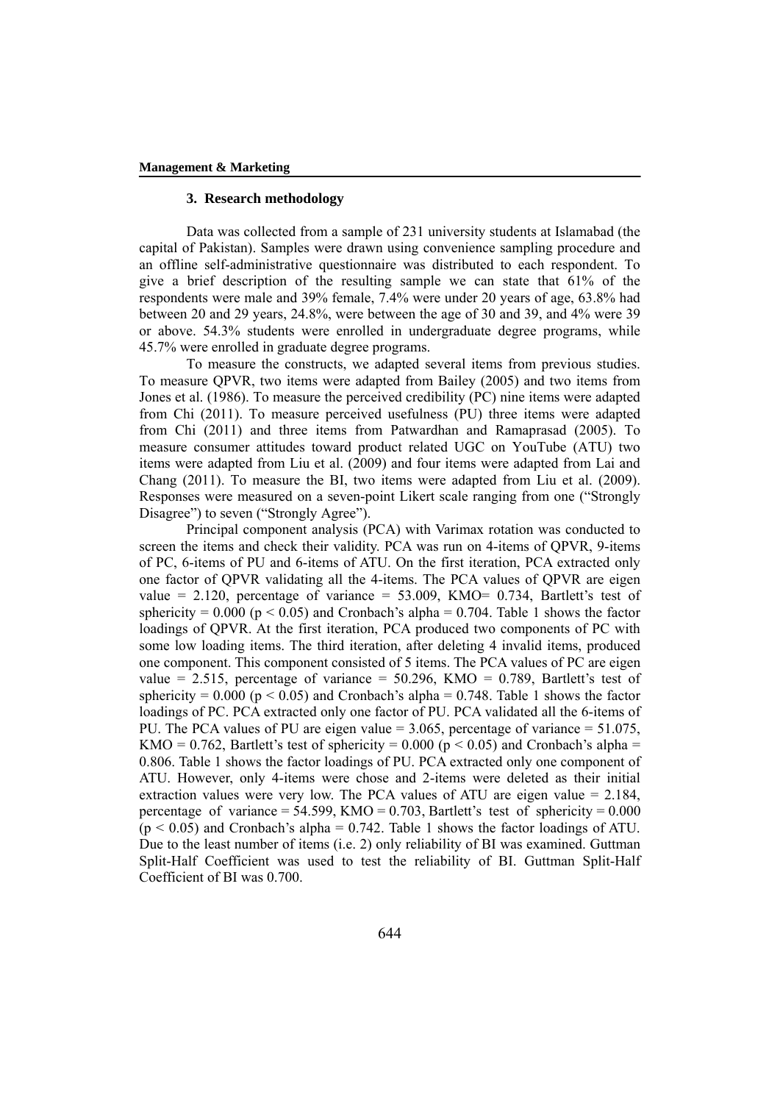### **3. Research methodology**

Data was collected from a sample of 231 university students at Islamabad (the capital of Pakistan). Samples were drawn using convenience sampling procedure and an offline self-administrative questionnaire was distributed to each respondent. To give a brief description of the resulting sample we can state that 61% of the respondents were male and 39% female, 7.4% were under 20 years of age, 63.8% had between 20 and 29 years, 24.8%, were between the age of 30 and 39, and 4% were 39 or above. 54.3% students were enrolled in undergraduate degree programs, while 45.7% were enrolled in graduate degree programs.

To measure the constructs, we adapted several items from previous studies. To measure QPVR, two items were adapted from Bailey (2005) and two items from Jones et al. (1986). To measure the perceived credibility (PC) nine items were adapted from Chi (2011). To measure perceived usefulness (PU) three items were adapted from Chi (2011) and three items from Patwardhan and Ramaprasad (2005). To measure consumer attitudes toward product related UGC on YouTube (ATU) two items were adapted from Liu et al. (2009) and four items were adapted from Lai and Chang (2011). To measure the BI, two items were adapted from Liu et al. (2009). Responses were measured on a seven-point Likert scale ranging from one ("Strongly Disagree") to seven ("Strongly Agree").

Principal component analysis (PCA) with Varimax rotation was conducted to screen the items and check their validity. PCA was run on 4-items of QPVR, 9-items of PC, 6-items of PU and 6-items of ATU. On the first iteration, PCA extracted only one factor of QPVR validating all the 4-items. The PCA values of QPVR are eigen value =  $2.120$ , percentage of variance =  $53.009$ , KMO= 0.734, Bartlett's test of sphericity =  $0.000$  ( $p < 0.05$ ) and Cronbach's alpha = 0.704. Table 1 shows the factor loadings of QPVR. At the first iteration, PCA produced two components of PC with some low loading items. The third iteration, after deleting 4 invalid items, produced one component. This component consisted of 5 items. The PCA values of PC are eigen value = 2.515, percentage of variance =  $50.296$ , KMO = 0.789, Bartlett's test of sphericity =  $0.000$  ( $p \le 0.05$ ) and Cronbach's alpha =  $0.748$ . Table 1 shows the factor loadings of PC. PCA extracted only one factor of PU. PCA validated all the 6-items of PU. The PCA values of PU are eigen value = 3.065, percentage of variance = 51.075, KMO = 0.762, Bartlett's test of sphericity = 0.000 ( $p < 0.05$ ) and Cronbach's alpha = 0.806. Table 1 shows the factor loadings of PU. PCA extracted only one component of ATU. However, only 4-items were chose and 2-items were deleted as their initial extraction values were very low. The PCA values of ATU are eigen value = 2.184, percentage of variance =  $54.599$ , KMO = 0.703, Bartlett's test of sphericity = 0.000  $(p \le 0.05)$  and Cronbach's alpha = 0.742. Table 1 shows the factor loadings of ATU. Due to the least number of items (i.e. 2) only reliability of BI was examined. Guttman Split-Half Coefficient was used to test the reliability of BI. Guttman Split-Half Coefficient of BI was 0.700.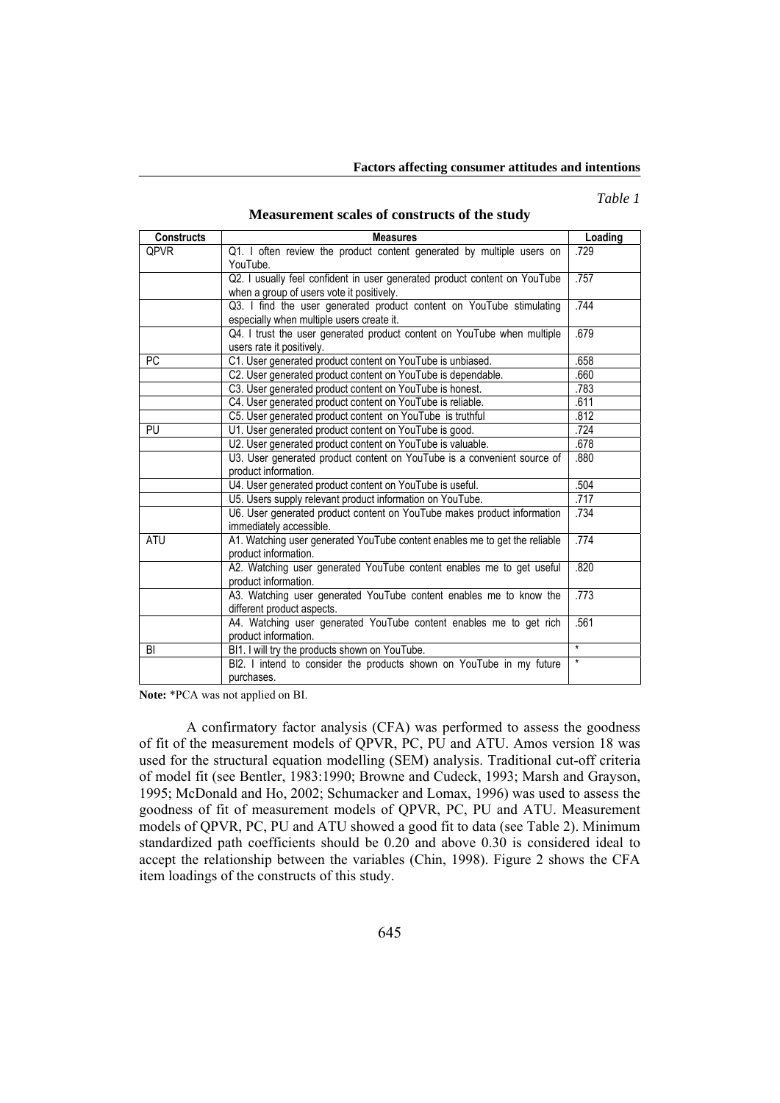#### **Factors affecting consumer attitudes and intentions**

*Table 1* 

### **Measurement scales of constructs of the study**

| <b>Measures</b>                                                                                    | Loading                                                                                                                                                                                                                                                                                                   |  |  |  |  |  |
|----------------------------------------------------------------------------------------------------|-----------------------------------------------------------------------------------------------------------------------------------------------------------------------------------------------------------------------------------------------------------------------------------------------------------|--|--|--|--|--|
| Q1. I often review the product content generated by multiple users on<br>YouTube.                  | .729                                                                                                                                                                                                                                                                                                      |  |  |  |  |  |
| Q2. I usually feel confident in user generated product content on YouTube                          |                                                                                                                                                                                                                                                                                                           |  |  |  |  |  |
| Q3. I find the user generated product content on YouTube stimulating                               |                                                                                                                                                                                                                                                                                                           |  |  |  |  |  |
| users rate it positively.                                                                          | .679                                                                                                                                                                                                                                                                                                      |  |  |  |  |  |
|                                                                                                    | .658                                                                                                                                                                                                                                                                                                      |  |  |  |  |  |
| C2. User generated product content on YouTube is dependable.                                       | .660                                                                                                                                                                                                                                                                                                      |  |  |  |  |  |
| C3. User generated product content on YouTube is honest.                                           | .783                                                                                                                                                                                                                                                                                                      |  |  |  |  |  |
| C4. User generated product content on YouTube is reliable.                                         | .611                                                                                                                                                                                                                                                                                                      |  |  |  |  |  |
| C5. User generated product content on YouTube is truthful                                          | .812                                                                                                                                                                                                                                                                                                      |  |  |  |  |  |
| U1. User generated product content on YouTube is good.                                             | .724                                                                                                                                                                                                                                                                                                      |  |  |  |  |  |
| U2. User generated product content on YouTube is valuable.                                         | .678                                                                                                                                                                                                                                                                                                      |  |  |  |  |  |
| U3. User generated product content on YouTube is a convenient source of<br>product information.    | .880                                                                                                                                                                                                                                                                                                      |  |  |  |  |  |
|                                                                                                    | .504                                                                                                                                                                                                                                                                                                      |  |  |  |  |  |
| U5. Users supply relevant product information on YouTube.                                          | .717                                                                                                                                                                                                                                                                                                      |  |  |  |  |  |
| U6. User generated product content on YouTube makes product information<br>immediately accessible. | .734                                                                                                                                                                                                                                                                                                      |  |  |  |  |  |
| A1. Watching user generated YouTube content enables me to get the reliable<br>product information. | .774                                                                                                                                                                                                                                                                                                      |  |  |  |  |  |
| A2. Watching user generated YouTube content enables me to get useful<br>product information.       | .820                                                                                                                                                                                                                                                                                                      |  |  |  |  |  |
| A3. Watching user generated YouTube content enables me to know the<br>different product aspects.   | .773                                                                                                                                                                                                                                                                                                      |  |  |  |  |  |
| A4. Watching user generated YouTube content enables me to get rich<br>product information.         | .561                                                                                                                                                                                                                                                                                                      |  |  |  |  |  |
| BI1. I will try the products shown on YouTube.                                                     | $\star$                                                                                                                                                                                                                                                                                                   |  |  |  |  |  |
| BI2. I intend to consider the products shown on YouTube in my future                               | $\star$                                                                                                                                                                                                                                                                                                   |  |  |  |  |  |
|                                                                                                    | when a group of users vote it positively.<br>especially when multiple users create it.<br>Q4. I trust the user generated product content on YouTube when multiple<br>C1. User generated product content on YouTube is unbiased.<br>U4. User generated product content on YouTube is useful.<br>purchases. |  |  |  |  |  |

**Note:** \*PCA was not applied on BI.

A confirmatory factor analysis (CFA) was performed to assess the goodness of fit of the measurement models of QPVR, PC, PU and ATU. Amos version 18 was used for the structural equation modelling (SEM) analysis. Traditional cut-off criteria of model fit (see Bentler, 1983:1990; Browne and Cudeck, 1993; Marsh and Grayson, 1995; McDonald and Ho, 2002; Schumacker and Lomax, 1996) was used to assess the goodness of fit of measurement models of QPVR, PC, PU and ATU. Measurement models of QPVR, PC, PU and ATU showed a good fit to data (see Table 2). Minimum standardized path coefficients should be 0.20 and above 0.30 is considered ideal to accept the relationship between the variables (Chin, 1998). Figure 2 shows the CFA item loadings of the constructs of this study.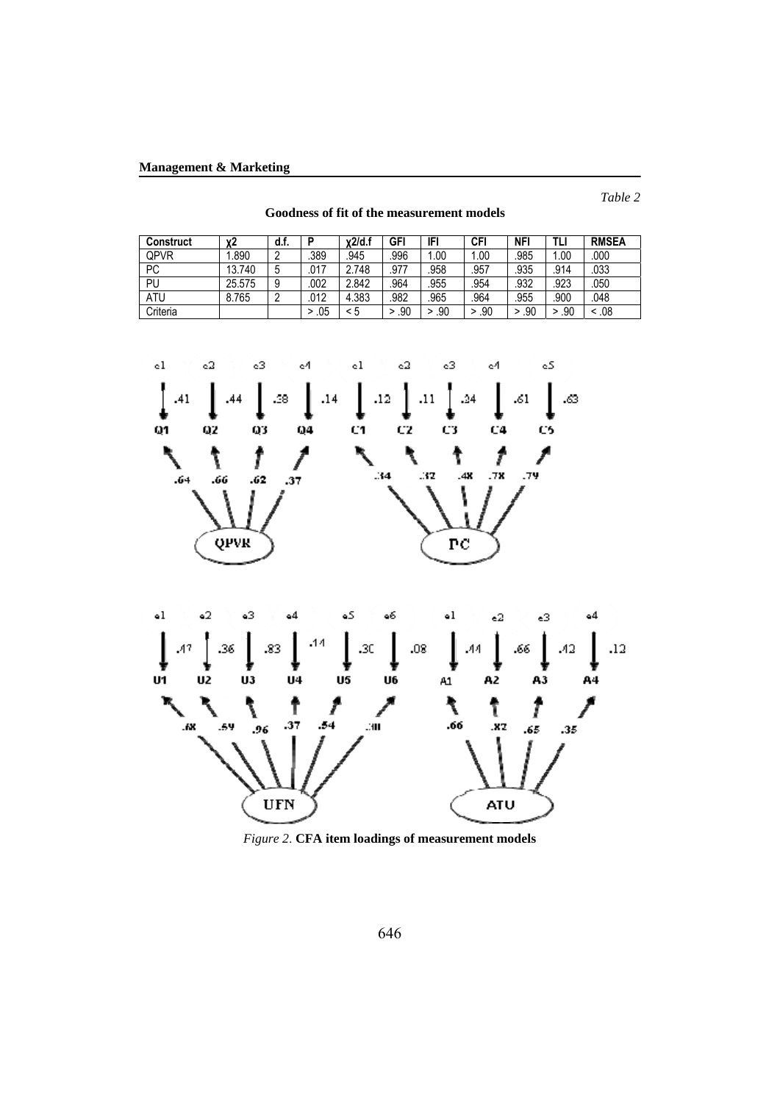*Table 2* 

| Construct | х2     | d.f. | D        | x2/d.f | GFI  | IFI  | <b>CFI</b> | <b>NFI</b> |      | <b>RMSEA</b> |
|-----------|--------|------|----------|--------|------|------|------------|------------|------|--------------|
| QPVR      | .890   | C    | .389     | 945    | .996 | 1.00 | .00        | .985       | .00  | .000         |
| PC        | 13.740 | э    | .017     | 2.748  | .977 | .958 | .957       | .935       | .914 | .033         |
| PU        | 25.575 | 9    | .002     | 2.842  | .964 | .955 | .954       | .932       | .923 | .050         |
| ATU       | 8.765  |      | .012     | 4.383  | .982 | .965 | .964       | .955       | .900 | .048         |
| Criteria  |        |      | .05<br>> | < 5    | .90  | .90  | .90        | .90<br>>   | .90  | .08          |

**Goodness of fit of the measurement models** 





*Figure 2*. **CFA item loadings of measurement models**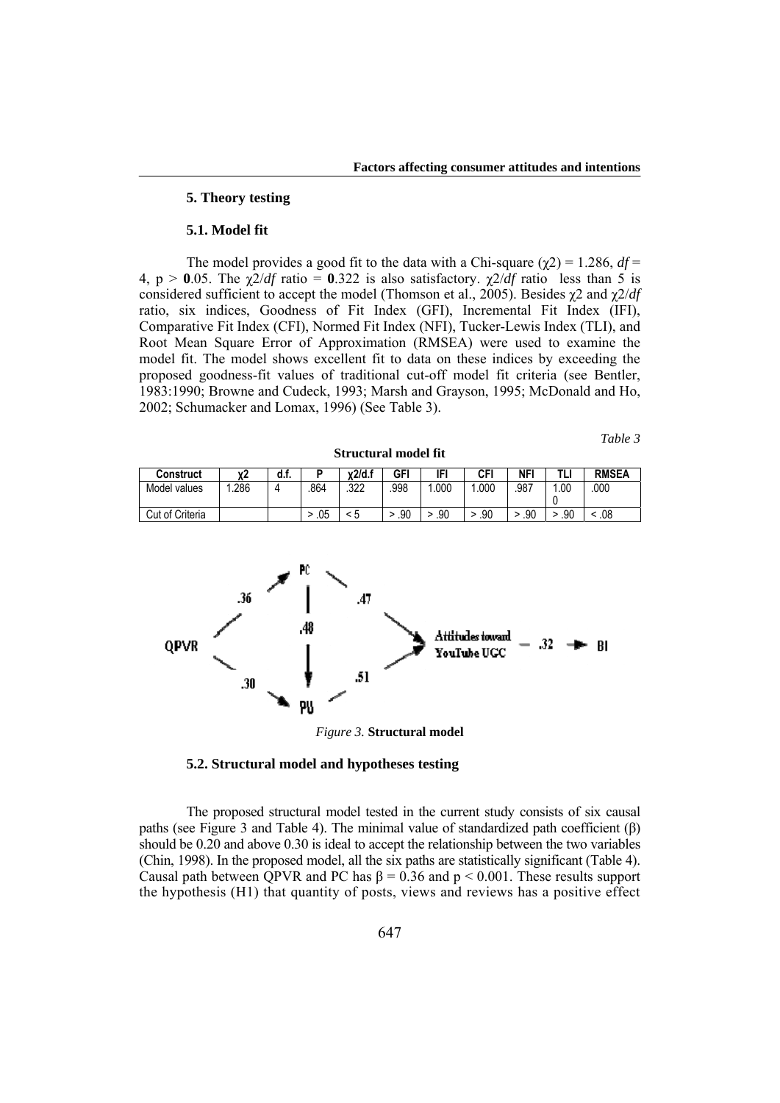## **5. Theory testing**

#### **5.1. Model fit**

The model provides a good fit to the data with a Chi-square  $(\chi 2) = 1.286$ ,  $df =$ 4, p > 0.05. The  $\chi^2/df$  ratio = 0.322 is also satisfactory.  $\chi^2/df$  ratio less than 5 is considered sufficient to accept the model (Thomson et al., 2005). Besides χ2 and χ2/*df* ratio, six indices, Goodness of Fit Index (GFI), Incremental Fit Index (IFI), Comparative Fit Index (CFI), Normed Fit Index (NFI), Tucker-Lewis Index (TLI), and Root Mean Square Error of Approximation (RMSEA) were used to examine the model fit. The model shows excellent fit to data on these indices by exceeding the proposed goodness-fit values of traditional cut-off model fit criteria (see Bentler, 1983:1990; Browne and Cudeck, 1993; Marsh and Grayson, 1995; McDonald and Ho, 2002; Schumacker and Lomax, 1996) (See Table 3).

*Table 3* 

| <b>Construct</b> |      | u.r. |     | x2/d.t | GFI  |      | CFI  | NFI  |     | <b>RMSEA</b> |
|------------------|------|------|-----|--------|------|------|------|------|-----|--------------|
| Model values     | .286 |      | 864 | .322   | .998 | .000 | .000 | .987 | .00 | 000          |
| Cut of Criteria  |      |      | .05 | ∽<br>N | .90  | .90  | .90  | .90  | .90 | .08          |

**Structural model fit** 



*Figure 3.* **Structural model** 

## **5.2. Structural model and hypotheses testing**

The proposed structural model tested in the current study consists of six causal paths (see Figure 3 and Table 4). The minimal value of standardized path coefficient (β) should be 0.20 and above 0.30 is ideal to accept the relationship between the two variables (Chin, 1998). In the proposed model, all the six paths are statistically significant (Table 4). Causal path between QPVR and PC has  $\beta = 0.36$  and  $p < 0.001$ . These results support the hypothesis (H1) that quantity of posts, views and reviews has a positive effect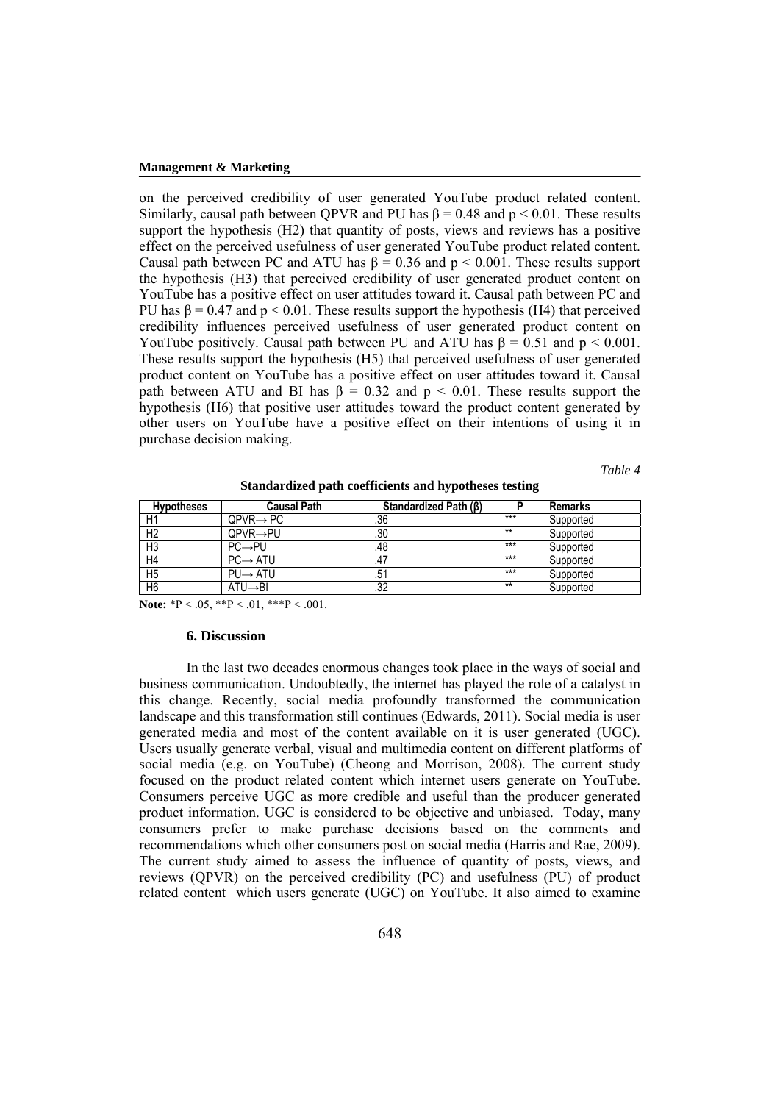on the perceived credibility of user generated YouTube product related content. Similarly, causal path between OPVR and PU has  $\beta = 0.48$  and  $p \le 0.01$ . These results support the hypothesis (H2) that quantity of posts, views and reviews has a positive effect on the perceived usefulness of user generated YouTube product related content. Causal path between PC and ATU has  $\beta = 0.36$  and  $p < 0.001$ . These results support the hypothesis (H3) that perceived credibility of user generated product content on YouTube has a positive effect on user attitudes toward it. Causal path between PC and PU has  $\beta = 0.47$  and  $p < 0.01$ . These results support the hypothesis (H4) that perceived credibility influences perceived usefulness of user generated product content on YouTube positively. Causal path between PU and ATU has  $\beta = 0.51$  and  $p < 0.001$ . These results support the hypothesis (H5) that perceived usefulness of user generated product content on YouTube has a positive effect on user attitudes toward it. Causal path between ATU and BI has  $\beta = 0.32$  and  $p \le 0.01$ . These results support the hypothesis (H6) that positive user attitudes toward the product content generated by other users on YouTube have a positive effect on their intentions of using it in purchase decision making.

*Table 4* 

| <b>Hypotheses</b> | <b>Causal Path</b>    | Standardized Path (B) |       | <b>Remarks</b> |
|-------------------|-----------------------|-----------------------|-------|----------------|
| H1                | $QPVR \rightarrow PC$ | .36                   | $***$ | Supported      |
| H <sub>2</sub>    | QPVR→PU               | .30                   | $**$  | Supported      |
| H <sub>3</sub>    | $PC \rightarrow PU$   | .48                   | $***$ | Supported      |
| H4                | $PC \rightarrow ATU$  | .47                   | $***$ | Supported      |
| H <sub>5</sub>    | $PU \rightarrow ATU$  | .51                   | $***$ | Supported      |
| H <sub>6</sub>    | $ATU \rightarrow BI$  | .32                   | $**$  | Supported      |

**Standardized path coefficients and hypotheses testing** 

**Note:** \*P < .05, \*\*P < .01, \*\*\*P < .001.

### **6. Discussion**

In the last two decades enormous changes took place in the ways of social and business communication. Undoubtedly, the internet has played the role of a catalyst in this change. Recently, social media profoundly transformed the communication landscape and this transformation still continues (Edwards, 2011). Social media is user generated media and most of the content available on it is user generated (UGC). Users usually generate verbal, visual and multimedia content on different platforms of social media (e.g. on YouTube) (Cheong and Morrison, 2008). The current study focused on the product related content which internet users generate on YouTube. Consumers perceive UGC as more credible and useful than the producer generated product information. UGC is considered to be objective and unbiased. Today, many consumers prefer to make purchase decisions based on the comments and recommendations which other consumers post on social media (Harris and Rae, 2009). The current study aimed to assess the influence of quantity of posts, views, and reviews (QPVR) on the perceived credibility (PC) and usefulness (PU) of product related content which users generate (UGC) on YouTube. It also aimed to examine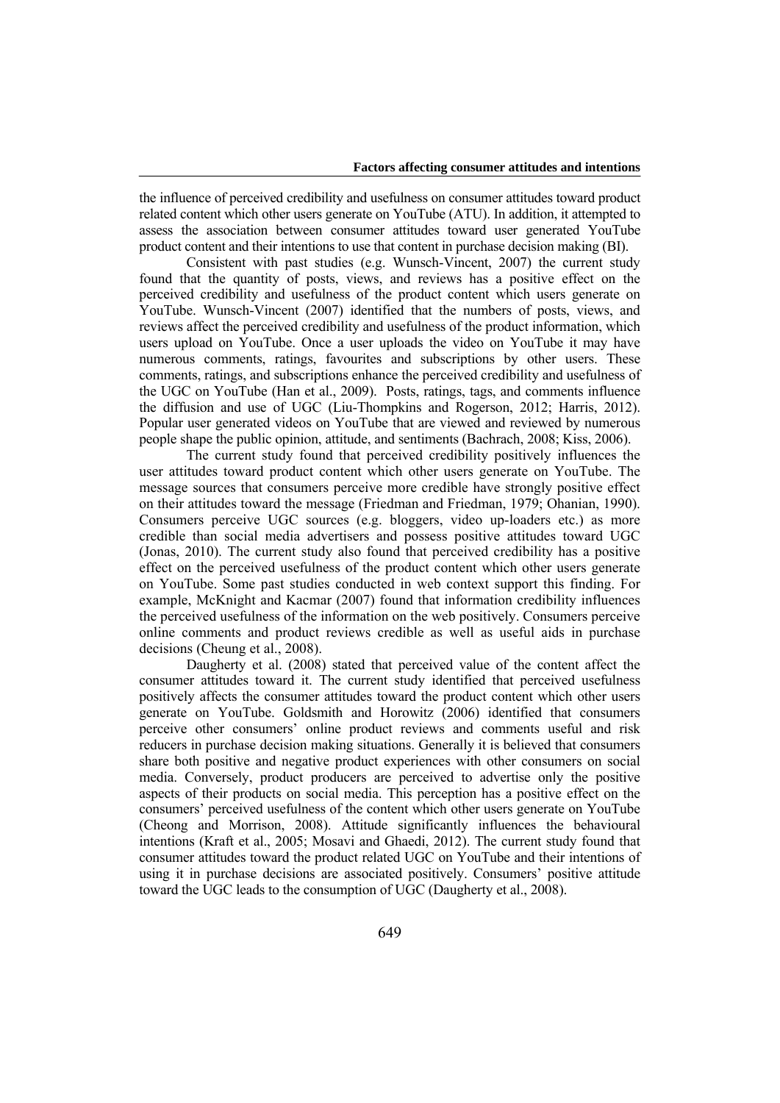the influence of perceived credibility and usefulness on consumer attitudes toward product related content which other users generate on YouTube (ATU). In addition, it attempted to assess the association between consumer attitudes toward user generated YouTube product content and their intentions to use that content in purchase decision making (BI).

Consistent with past studies (e.g. Wunsch-Vincent, 2007) the current study found that the quantity of posts, views, and reviews has a positive effect on the perceived credibility and usefulness of the product content which users generate on YouTube. Wunsch-Vincent (2007) identified that the numbers of posts, views, and reviews affect the perceived credibility and usefulness of the product information, which users upload on YouTube. Once a user uploads the video on YouTube it may have numerous comments, ratings, favourites and subscriptions by other users. These comments, ratings, and subscriptions enhance the perceived credibility and usefulness of the UGC on YouTube (Han et al., 2009). Posts, ratings, tags, and comments influence the diffusion and use of UGC (Liu-Thompkins and Rogerson, 2012; Harris, 2012). Popular user generated videos on YouTube that are viewed and reviewed by numerous people shape the public opinion, attitude, and sentiments (Bachrach, 2008; Kiss, 2006).

The current study found that perceived credibility positively influences the user attitudes toward product content which other users generate on YouTube. The message sources that consumers perceive more credible have strongly positive effect on their attitudes toward the message (Friedman and Friedman, 1979; Ohanian, 1990). Consumers perceive UGC sources (e.g. bloggers, video up-loaders etc.) as more credible than social media advertisers and possess positive attitudes toward UGC (Jonas, 2010). The current study also found that perceived credibility has a positive effect on the perceived usefulness of the product content which other users generate on YouTube. Some past studies conducted in web context support this finding. For example, McKnight and Kacmar (2007) found that information credibility influences the perceived usefulness of the information on the web positively. Consumers perceive online comments and product reviews credible as well as useful aids in purchase decisions (Cheung et al., 2008).

Daugherty et al. (2008) stated that perceived value of the content affect the consumer attitudes toward it. The current study identified that perceived usefulness positively affects the consumer attitudes toward the product content which other users generate on YouTube. Goldsmith and Horowitz (2006) identified that consumers perceive other consumers' online product reviews and comments useful and risk reducers in purchase decision making situations. Generally it is believed that consumers share both positive and negative product experiences with other consumers on social media. Conversely, product producers are perceived to advertise only the positive aspects of their products on social media. This perception has a positive effect on the consumers' perceived usefulness of the content which other users generate on YouTube (Cheong and Morrison, 2008). Attitude significantly influences the behavioural intentions (Kraft et al., 2005; Mosavi and Ghaedi, 2012). The current study found that consumer attitudes toward the product related UGC on YouTube and their intentions of using it in purchase decisions are associated positively. Consumers' positive attitude toward the UGC leads to the consumption of UGC (Daugherty et al., 2008).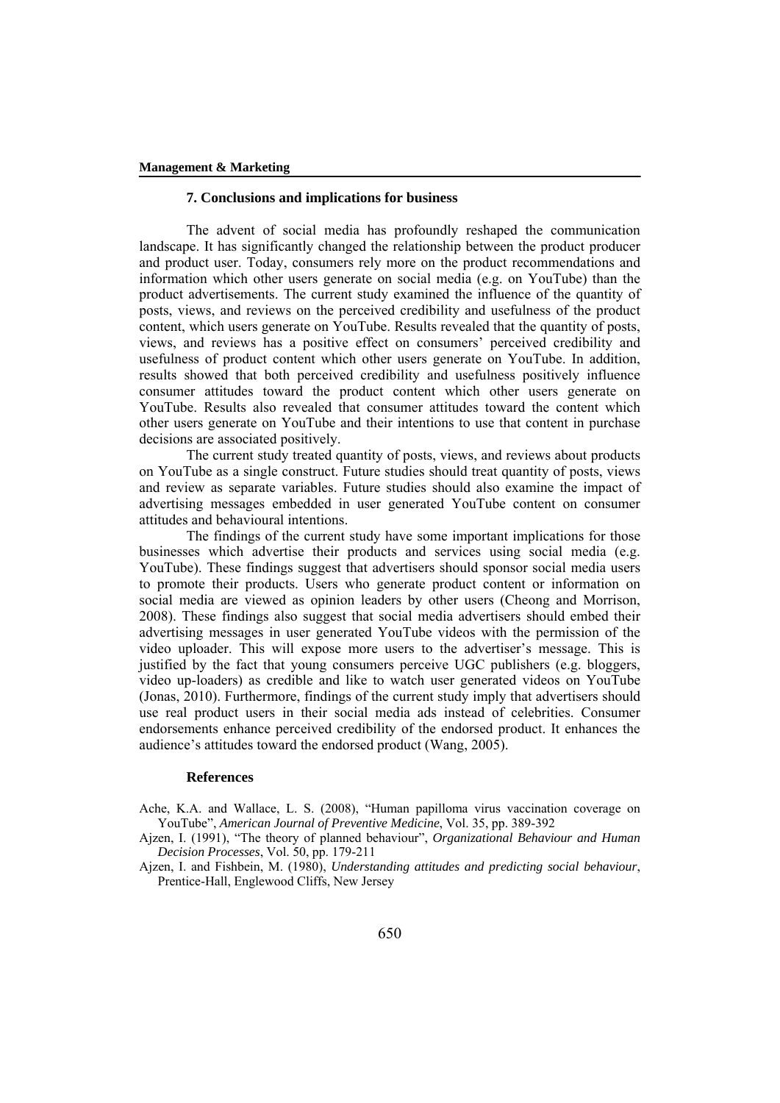## **7. Conclusions and implications for business**

The advent of social media has profoundly reshaped the communication landscape. It has significantly changed the relationship between the product producer and product user. Today, consumers rely more on the product recommendations and information which other users generate on social media (e.g. on YouTube) than the product advertisements. The current study examined the influence of the quantity of posts, views, and reviews on the perceived credibility and usefulness of the product content, which users generate on YouTube. Results revealed that the quantity of posts, views, and reviews has a positive effect on consumers' perceived credibility and usefulness of product content which other users generate on YouTube. In addition, results showed that both perceived credibility and usefulness positively influence consumer attitudes toward the product content which other users generate on YouTube. Results also revealed that consumer attitudes toward the content which other users generate on YouTube and their intentions to use that content in purchase decisions are associated positively.

The current study treated quantity of posts, views, and reviews about products on YouTube as a single construct. Future studies should treat quantity of posts, views and review as separate variables. Future studies should also examine the impact of advertising messages embedded in user generated YouTube content on consumer attitudes and behavioural intentions.

The findings of the current study have some important implications for those businesses which advertise their products and services using social media (e.g. YouTube). These findings suggest that advertisers should sponsor social media users to promote their products. Users who generate product content or information on social media are viewed as opinion leaders by other users (Cheong and Morrison, 2008). These findings also suggest that social media advertisers should embed their advertising messages in user generated YouTube videos with the permission of the video uploader. This will expose more users to the advertiser's message. This is justified by the fact that young consumers perceive UGC publishers (e.g. bloggers, video up-loaders) as credible and like to watch user generated videos on YouTube (Jonas, 2010). Furthermore, findings of the current study imply that advertisers should use real product users in their social media ads instead of celebrities. Consumer endorsements enhance perceived credibility of the endorsed product. It enhances the audience's attitudes toward the endorsed product (Wang, 2005).

### **References**

Ache, K.A. and Wallace, L. S. (2008), "Human papilloma virus vaccination coverage on YouTube", *American Journal of Preventive Medicine*, Vol. 35, pp. 389-392

Ajzen, I. (1991), "The theory of planned behaviour", *Organizational Behaviour and Human Decision Processes*, Vol. 50, pp. 179-211

Ajzen, I. and Fishbein, M. (1980), *Understanding attitudes and predicting social behaviour*, Prentice-Hall, Englewood Cliffs, New Jersey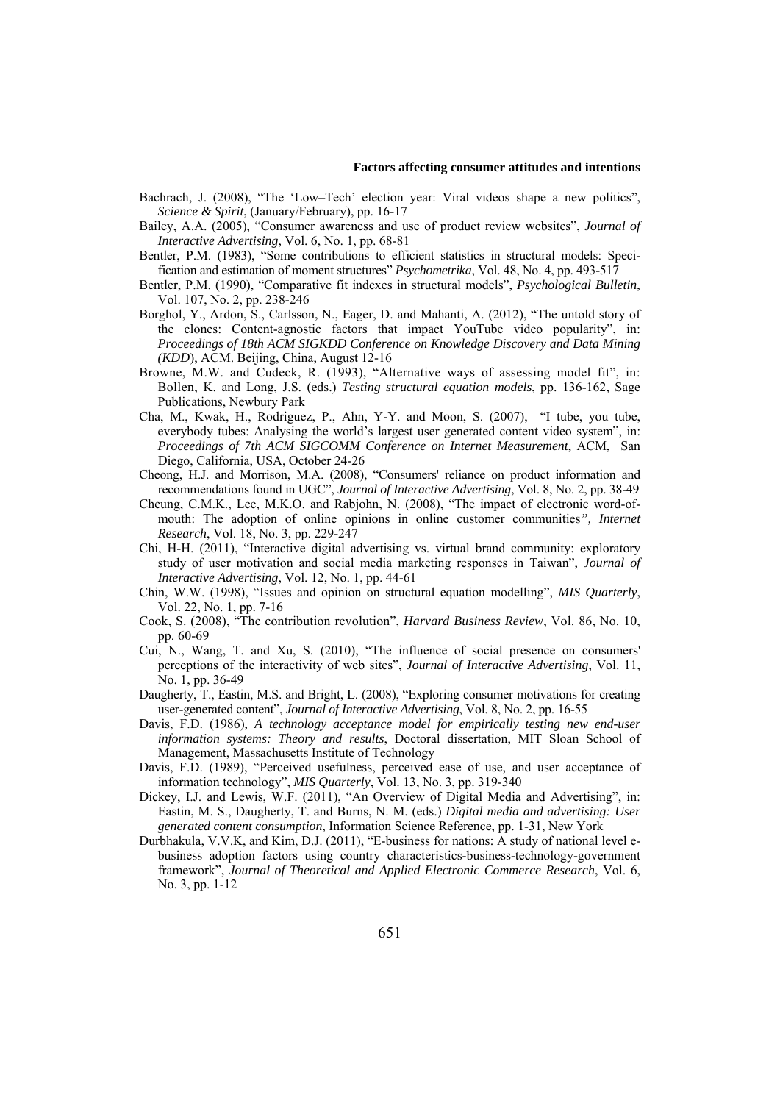- Bachrach, J. (2008), "The 'Low–Tech' election year: Viral videos shape a new politics", *Science & Spirit*, (January/February), pp. 16-17
- Bailey, A.A. (2005), "Consumer awareness and use of product review websites", *Journal of Interactive Advertising*, Vol. 6, No. 1, pp. 68-81
- Bentler, P.M. (1983), "Some contributions to efficient statistics in structural models: Specification and estimation of moment structures" *Psychometrika*, Vol. 48, No. 4, pp. 493-517
- Bentler, P.M. (1990), "Comparative fit indexes in structural models", *Psychological Bulletin*, Vol. 107, No. 2, pp. 238-246
- Borghol, Y., Ardon, S., Carlsson, N., Eager, D. and Mahanti, A. (2012), "The untold story of the clones: Content-agnostic factors that impact YouTube video popularity", in: *Proceedings of 18th ACM SIGKDD Conference on Knowledge Discovery and Data Mining (KDD*), ACM. Beijing, China, August 12-16
- Browne, M.W. and Cudeck, R. (1993), "Alternative ways of assessing model fit", in: Bollen, K. and Long, J.S. (eds.) *Testing structural equation models*, pp. 136-162, Sage Publications, Newbury Park
- Cha, M., Kwak, H., Rodriguez, P., Ahn, Y-Y. and Moon, S. (2007), "I tube, you tube, everybody tubes: Analysing the world's largest user generated content video system", in: *Proceedings of 7th ACM SIGCOMM Conference on Internet Measurement*, ACM, San Diego, California, USA, October 24-26
- Cheong, H.J. and Morrison, M.A. (2008), "Consumers' reliance on product information and recommendations found in UGC", *Journal of Interactive Advertising*, Vol. 8, No. 2, pp. 38-49
- Cheung, C.M.K., Lee, M.K.O. and Rabjohn, N. (2008), "The impact of electronic word-ofmouth: The adoption of online opinions in online customer communities*", Internet Research*, Vol. 18, No. 3, pp. 229-247
- Chi, H-H. (2011), "Interactive digital advertising vs. virtual brand community: exploratory study of user motivation and social media marketing responses in Taiwan", *Journal of Interactive Advertising*, Vol. 12, No. 1, pp. 44-61
- Chin, W.W. (1998), "Issues and opinion on structural equation modelling", *MIS Quarterly*, Vol. 22, No. 1, pp. 7-16
- Cook, S. (2008), "The contribution revolution", *Harvard Business Review*, Vol. 86, No. 10, pp. 60-69
- Cui, N., Wang, T. and Xu, S. (2010), "The influence of social presence on consumers' perceptions of the interactivity of web sites", *Journal of Interactive Advertising*, Vol. 11, No. 1, pp. 36-49
- Daugherty, T., Eastin, M.S. and Bright, L. (2008), "Exploring consumer motivations for creating user-generated content", *Journal of Interactive Advertising*, Vol. 8, No. 2, pp. 16-55
- Davis, F.D. (1986), *A technology acceptance model for empirically testing new end-user information systems: Theory and results*, Doctoral dissertation, MIT Sloan School of Management, Massachusetts Institute of Technology
- Davis, F.D. (1989), "Perceived usefulness, perceived ease of use, and user acceptance of information technology", *MIS Quarterly*, Vol. 13, No. 3, pp. 319-340
- Dickey, I.J. and Lewis, W.F. (2011), "An Overview of Digital Media and Advertising", in: Eastin, M. S., Daugherty, T. and Burns, N. M. (eds.) *Digital media and advertising: User generated content consumption*, Information Science Reference, pp. 1-31, New York
- Durbhakula, V.V.K, and Kim, D.J. (2011), "E-business for nations: A study of national level ebusiness adoption factors using country characteristics-business-technology-government framework", *Journal of Theoretical and Applied Electronic Commerce Research*, Vol. 6, No. 3, pp. 1-12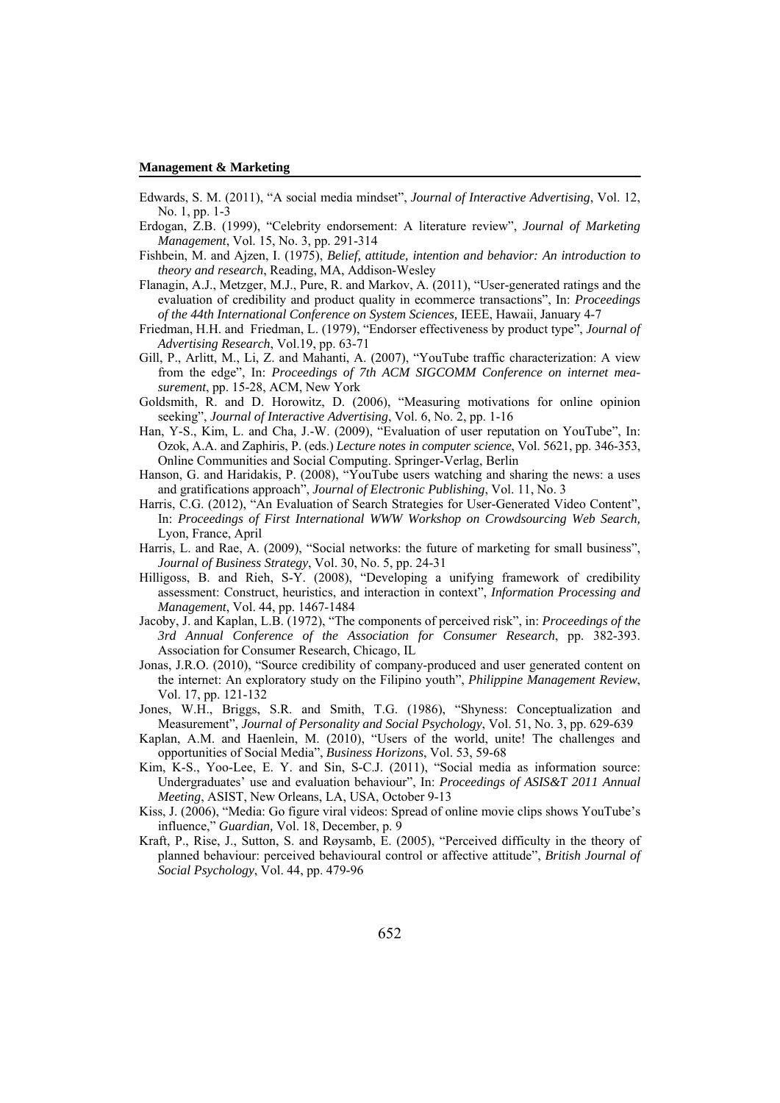- Edwards, S. M. (2011), "A social media mindset", *Journal of Interactive Advertising*, Vol. 12, No. 1, pp. 1-3
- Erdogan, Z.B. (1999), "Celebrity endorsement: A literature review", *Journal of Marketing Management*, Vol. 15, No. 3, pp. 291-314
- Fishbein, M. and Ajzen, I. (1975), *Belief, attitude, intention and behavior: An introduction to theory and research*, Reading, MA, Addison-Wesley
- Flanagin, A.J., Metzger, M.J., Pure, R. and Markov, A. (2011), "User-generated ratings and the evaluation of credibility and product quality in ecommerce transactions", In: *Proceedings of the 44th International Conference on System Sciences,* IEEE, Hawaii, January 4-7
- Friedman, H.H. and Friedman, L. (1979), "Endorser effectiveness by product type", *Journal of Advertising Research*, Vol.19, pp. 63-71
- Gill, P., Arlitt, M., Li, Z. and Mahanti, A. (2007), "YouTube traffic characterization: A view from the edge", In: *Proceedings of 7th ACM SIGCOMM Conference on internet measurement*, pp. 15-28, ACM, New York
- Goldsmith, R. and D. Horowitz, D. (2006), "Measuring motivations for online opinion seeking", *Journal of Interactive Advertising*, Vol. 6, No. 2, pp. 1-16
- Han, Y-S., Kim, L. and Cha, J.-W. (2009), "Evaluation of user reputation on YouTube", In: Ozok, A.A. and Zaphiris, P. (eds.) *Lecture notes in computer science*, Vol. 5621, pp. 346-353, Online Communities and Social Computing. Springer-Verlag, Berlin
- Hanson, G. and Haridakis, P. (2008), "YouTube users watching and sharing the news: a uses and gratifications approach", *Journal of Electronic Publishing*, Vol. 11, No. 3
- Harris, C.G. (2012), "An Evaluation of Search Strategies for User-Generated Video Content", In: *Proceedings of First International WWW Workshop on Crowdsourcing Web Search,* Lyon, France, April
- Harris, L. and Rae, A. (2009), "Social networks: the future of marketing for small business", *Journal of Business Strategy*, Vol. 30, No. 5, pp. 24-31
- Hilligoss, B. and Rieh, S-Y. (2008), "Developing a unifying framework of credibility assessment: Construct, heuristics, and interaction in context", *Information Processing and Management*, Vol. 44, pp. 1467-1484
- Jacoby, J. and Kaplan, L.B. (1972), "The components of perceived risk", in: *Proceedings of the 3rd Annual Conference of the Association for Consumer Research*, pp. 382-393. Association for Consumer Research, Chicago, IL
- Jonas, J.R.O. (2010), "Source credibility of company-produced and user generated content on the internet: An exploratory study on the Filipino youth", *Philippine Management Review*, Vol. 17, pp. 121-132
- Jones, W.H., Briggs, S.R. and Smith, T.G. (1986), "Shyness: Conceptualization and Measurement", *Journal of Personality and Social Psychology*, Vol. 51, No. 3, pp. 629-639
- Kaplan, A.M. and Haenlein, M. (2010), "Users of the world, unite! The challenges and opportunities of Social Media", *Business Horizons*, Vol. 53, 59-68
- Kim, K-S., Yoo-Lee, E. Y. and Sin, S-C.J. (2011), "Social media as information source: Undergraduates' use and evaluation behaviour", In: *Proceedings of ASIS&T 2011 Annual Meeting*, ASIST, New Orleans, LA, USA, October 9-13
- Kiss, J. (2006), "Media: Go figure viral videos: Spread of online movie clips shows YouTube's influence," *Guardian,* Vol. 18, December, p. 9
- Kraft, P., Rise, J., Sutton, S. and Røysamb, E. (2005), "Perceived difficulty in the theory of planned behaviour: perceived behavioural control or affective attitude", *British Journal of Social Psychology*, Vol. 44, pp. 479-96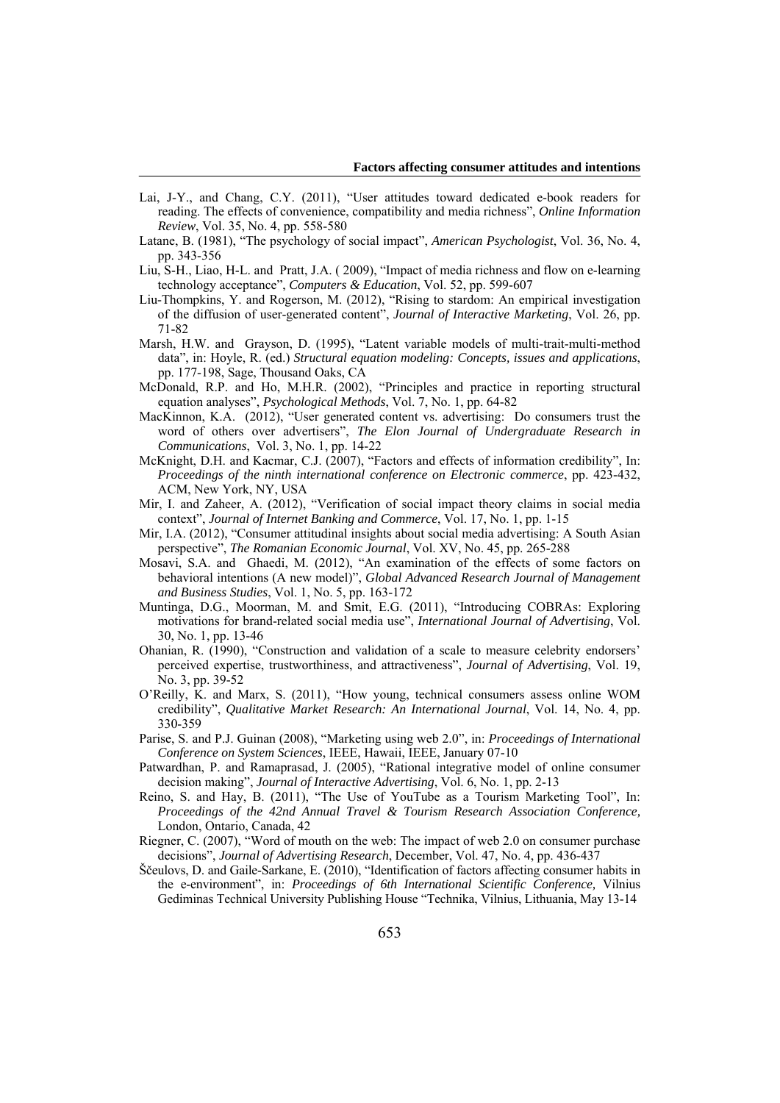- Lai, J-Y., and Chang, C.Y. (2011), "User attitudes toward dedicated e-book readers for reading. The effects of convenience, compatibility and media richness", *Online Information Review*, Vol. 35, No. 4, pp. 558-580
- Latane, B. (1981), "The psychology of social impact", *American Psychologist*, Vol. 36, No. 4, pp. 343-356
- Liu, S-H., Liao, H-L. and Pratt, J.A. ( 2009), "Impact of media richness and flow on e-learning technology acceptance", *Computers & Education*, Vol. 52, pp. 599-607
- Liu-Thompkins, Y. and Rogerson, M. (2012), "Rising to stardom: An empirical investigation of the diffusion of user-generated content", *Journal of Interactive Marketing*, Vol. 26, pp. 71-82
- Marsh, H.W. and Grayson, D. (1995), "Latent variable models of multi-trait-multi-method data", in: Hoyle, R. (ed.) *Structural equation modeling: Concepts, issues and applications*, pp. 177-198, Sage, Thousand Oaks, CA
- McDonald, R.P. and Ho, M.H.R. (2002), "Principles and practice in reporting structural equation analyses", *Psychological Methods*, Vol. 7, No. 1, pp. 64-82
- MacKinnon, K.A. (2012), "User generated content vs. advertising: Do consumers trust the word of others over advertisers", *The Elon Journal of Undergraduate Research in Communications*, Vol. 3, No. 1, pp. 14-22
- McKnight, D.H. and Kacmar, C.J. (2007), "Factors and effects of information credibility", In: *Proceedings of the ninth international conference on Electronic commerce*, pp. 423-432, ACM, New York, NY, USA
- Mir, I. and Zaheer, A. (2012), "Verification of social impact theory claims in social media context", *Journal of Internet Banking and Commerce*, Vol. 17, No. 1, pp. 1-15
- Mir, I.A. (2012), "Consumer attitudinal insights about social media advertising: A South Asian perspective", *The Romanian Economic Journal*, Vol. XV, No. 45, pp. 265-288
- Mosavi, S.A. and Ghaedi, M. (2012), "An examination of the effects of some factors on behavioral intentions (A new model)", *Global Advanced Research Journal of Management and Business Studies*, Vol. 1, No. 5, pp. 163-172
- Muntinga, D.G., Moorman, M. and Smit, E.G. (2011), "Introducing COBRAs: Exploring motivations for brand-related social media use", *International Journal of Advertising*, Vol. 30, No. 1, pp. 13-46
- Ohanian, R. (1990), "Construction and validation of a scale to measure celebrity endorsers' perceived expertise, trustworthiness, and attractiveness", *Journal of Advertising*, Vol. 19, No. 3, pp. 39-52
- O'Reilly, K. and Marx, S. (2011), "How young, technical consumers assess online WOM credibility", *Qualitative Market Research: An International Journal*, Vol. 14, No. 4, pp. 330-359
- Parise, S. and P.J. Guinan (2008), "Marketing using web 2.0", in: *Proceedings of International Conference on System Sciences*, IEEE, Hawaii, IEEE, January 07-10
- Patwardhan, P. and Ramaprasad, J. (2005), "Rational integrative model of online consumer decision making", *Journal of Interactive Advertising*, Vol. 6, No. 1, pp. 2-13
- Reino, S. and Hay, B. (2011), "The Use of YouTube as a Tourism Marketing Tool", In: *Proceedings of the 42nd Annual Travel & Tourism Research Association Conference,*  London, Ontario, Canada, 42
- Riegner, C. (2007), "Word of mouth on the web: The impact of web 2.0 on consumer purchase decisions", *Journal of Advertising Research*, December, Vol. 47, No. 4, pp. 436-437
- Ščeulovs, D. and Gaile-Sarkane, E. (2010), "Identification of factors affecting consumer habits in the e-environment", in: *Proceedings of 6th International Scientific Conference,* Vilnius Gediminas Technical University Publishing House "Technika, Vilnius, Lithuania, May 13-14